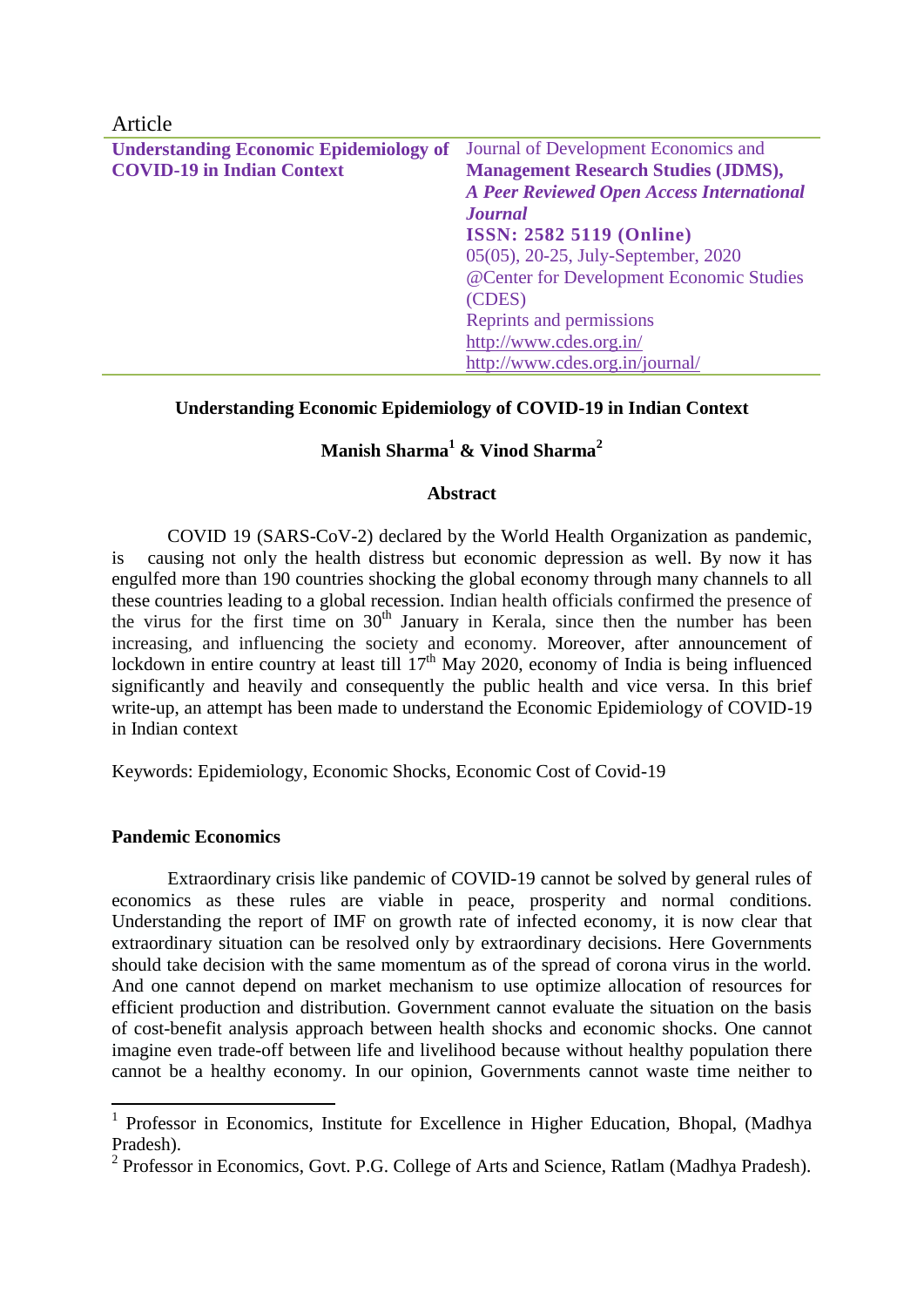| Article                                       |                                                  |
|-----------------------------------------------|--------------------------------------------------|
| <b>Understanding Economic Epidemiology of</b> | Journal of Development Economics and             |
| <b>COVID-19 in Indian Context</b>             | <b>Management Research Studies (JDMS),</b>       |
|                                               | <b>A Peer Reviewed Open Access International</b> |
|                                               | <b>Journal</b>                                   |
|                                               | <b>ISSN: 2582 5119 (Online)</b>                  |
|                                               | 05(05), 20-25, July-September, 2020              |
|                                               | @Center for Development Economic Studies         |
|                                               | (CDES)                                           |
|                                               | Reprints and permissions                         |
|                                               | http://www.cdes.org.in/                          |
|                                               | http://www.cdes.org.in/journal/                  |

## **Understanding Economic Epidemiology of COVID-19 in Indian Context**

# **Manish Sharma<sup>1</sup> & Vinod Sharma<sup>2</sup>**

#### **Abstract**

COVID 19 (SARS-CoV-2) declared by the World Health Organization as pandemic, is causing not only the health distress but economic depression as well. By now it has engulfed more than 190 countries shocking the global economy through many channels to all these countries leading to a global recession. Indian health officials confirmed the presence of the virus for the first time on 30<sup>th</sup> January in Kerala, since then the number has been increasing, and influencing the society and economy. Moreover, after announcement of lockdown in entire country at least till  $17<sup>th</sup>$  May 2020, economy of India is being influenced significantly and heavily and consequently the public health and vice versa. In this brief write-up, an attempt has been made to understand the Economic Epidemiology of COVID-19 in Indian context

Keywords: Epidemiology, Economic Shocks, Economic Cost of Covid-19

#### **Pandemic Economics**

**.** 

Extraordinary crisis like pandemic of COVID-19 cannot be solved by general rules of economics as these rules are viable in peace, prosperity and normal conditions. Understanding the report of IMF on growth rate of infected economy, it is now clear that extraordinary situation can be resolved only by extraordinary decisions. Here Governments should take decision with the same momentum as of the spread of corona virus in the world. And one cannot depend on market mechanism to use optimize allocation of resources for efficient production and distribution. Government cannot evaluate the situation on the basis of cost-benefit analysis approach between health shocks and economic shocks. One cannot imagine even trade-off between life and livelihood because without healthy population there cannot be a healthy economy. In our opinion, Governments cannot waste time neither to

<sup>&</sup>lt;sup>1</sup> Professor in Economics, Institute for Excellence in Higher Education, Bhopal, (Madhya Pradesh).

<sup>&</sup>lt;sup>2</sup> Professor in Economics, Govt. P.G. College of Arts and Science, Ratlam (Madhya Pradesh).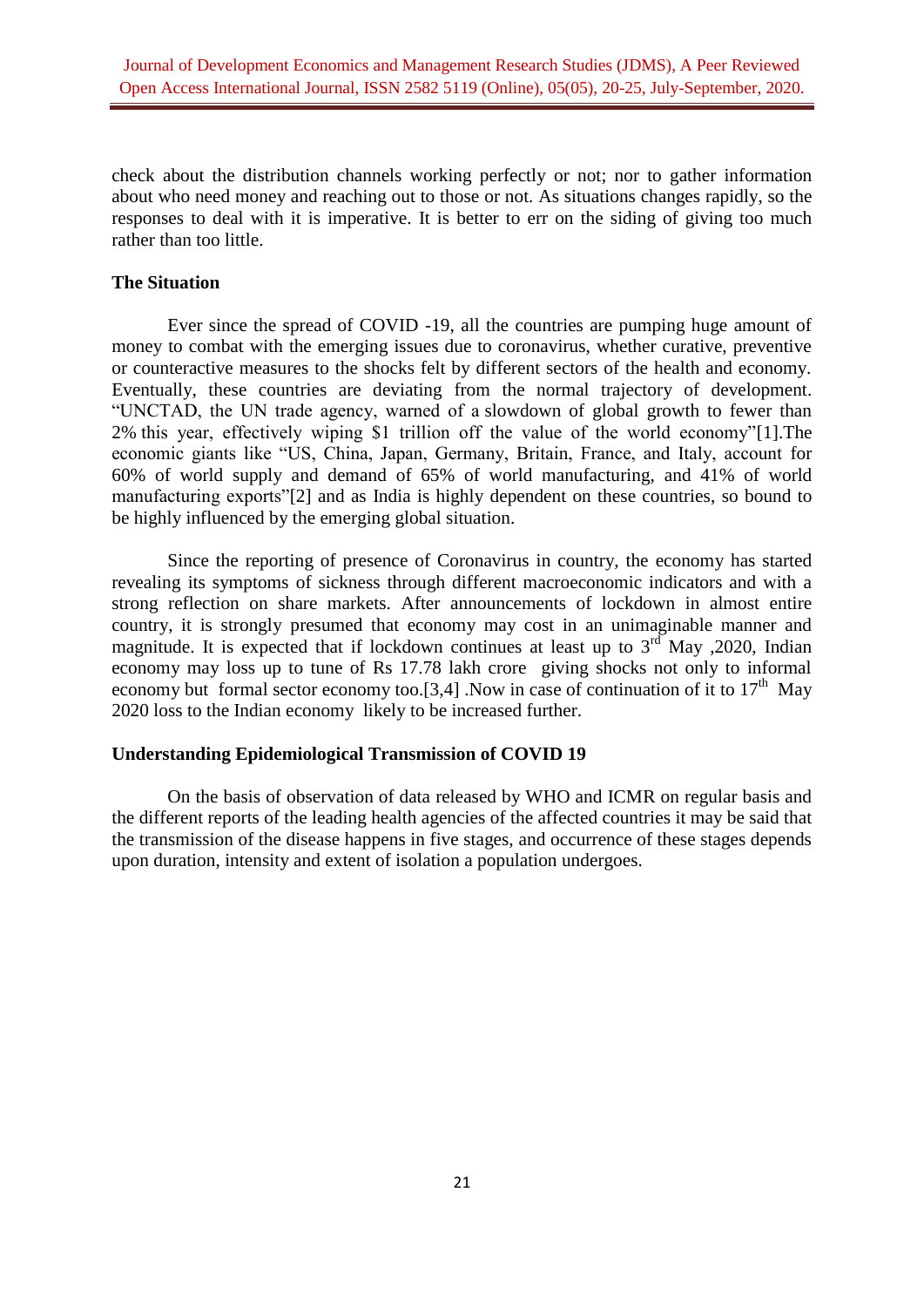check about the distribution channels working perfectly or not; nor to gather information about who need money and reaching out to those or not. As situations changes rapidly, so the responses to deal with it is imperative. It is better to err on the siding of giving too much rather than too little.

## **The Situation**

Ever since the spread of COVID -19, all the countries are pumping huge amount of money to combat with the emerging issues due to coronavirus, whether curative, preventive or counteractive measures to the shocks felt by different sectors of the health and economy. Eventually, these countries are deviating from the normal trajectory of development. "UNCTAD, the UN trade agency, warned of a slowdown of global growth to fewer than 2% this year, effectively wiping \$1 trillion off the value of the world economy"[1].The economic giants like "US, China, Japan, Germany, Britain, France, and Italy, account for 60% of world supply and demand of 65% of world manufacturing, and 41% of world manufacturing exports"[2] and as India is highly dependent on these countries, so bound to be highly influenced by the emerging global situation.

Since the reporting of presence of Coronavirus in country, the economy has started revealing its symptoms of sickness through different macroeconomic indicators and with a strong reflection on share markets. After announcements of lockdown in almost entire country, it is strongly presumed that economy may cost in an unimaginable manner and magnitude. It is expected that if lockdown continues at least up to  $3<sup>rd</sup>$  May , 2020, Indian economy may loss up to tune of Rs 17.78 lakh crore giving shocks not only to informal economy but formal sector economy too.[3,4] .Now in case of continuation of it to  $17<sup>th</sup>$  May 2020 loss to the Indian economy likely to be increased further.

#### **Understanding Epidemiological Transmission of COVID 19**

On the basis of observation of data released by WHO and ICMR on regular basis and the different reports of the leading health agencies of the affected countries it may be said that the transmission of the disease happens in five stages, and occurrence of these stages depends upon duration, intensity and extent of isolation a population undergoes.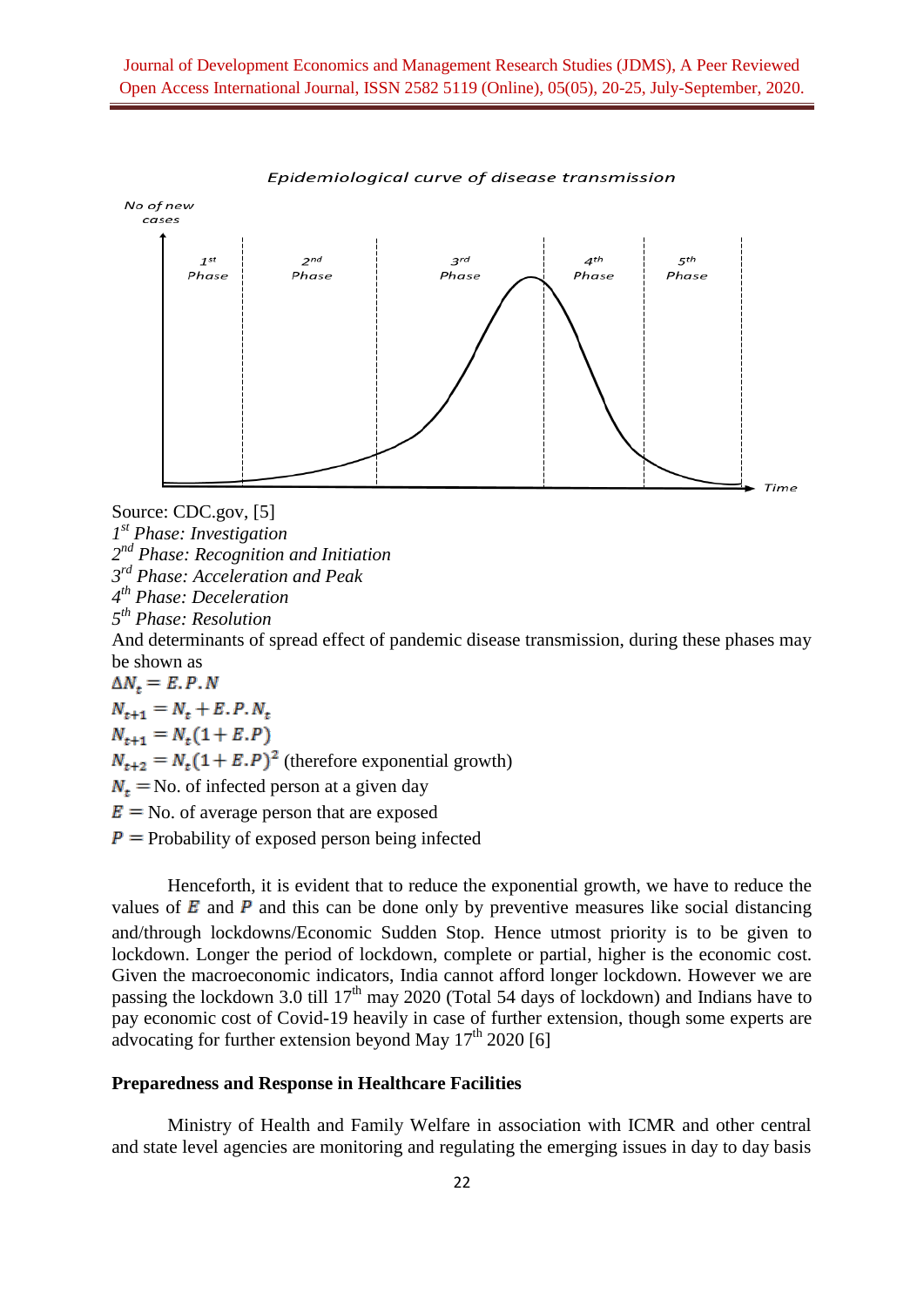

Epidemiological curve of disease transmission

Source: CDC.gov, [5]

*1 st Phase: Investigation*

*2 nd Phase: Recognition and Initiation*

*3 rd Phase: Acceleration and Peak*

*4 th Phase: Deceleration*

*5 th Phase: Resolution* 

And determinants of spread effect of pandemic disease transmission, during these phases may

be shown as<br> $\Delta N_t = E.P.N$  $N_{t+1} = N_t + E.P.N_t$  $N_{t+1} = N_t(1 + E.P)$  $N_{t+2} = N_t (1 + E.P)^2$  (therefore exponential growth)  $N_t$  = No. of infected person at a given day  $E = No$ , of average person that are exposed

 $P =$  Probability of exposed person being infected

Henceforth, it is evident that to reduce the exponential growth, we have to reduce the values of  $\vec{E}$  and  $\vec{P}$  and this can be done only by preventive measures like social distancing and/through lockdowns/Economic Sudden Stop. Hence utmost priority is to be given to lockdown. Longer the period of lockdown, complete or partial, higher is the economic cost. Given the macroeconomic indicators, India cannot afford longer lockdown. However we are passing the lockdown 3.0 till  $17<sup>th</sup>$  may 2020 (Total 54 days of lockdown) and Indians have to pay economic cost of Covid-19 heavily in case of further extension, though some experts are advocating for further extension beyond May  $17<sup>th</sup> 2020$  [6]

## **Preparedness and Response in Healthcare Facilities**

Ministry of Health and Family Welfare in association with ICMR and other central and state level agencies are monitoring and regulating the emerging issues in day to day basis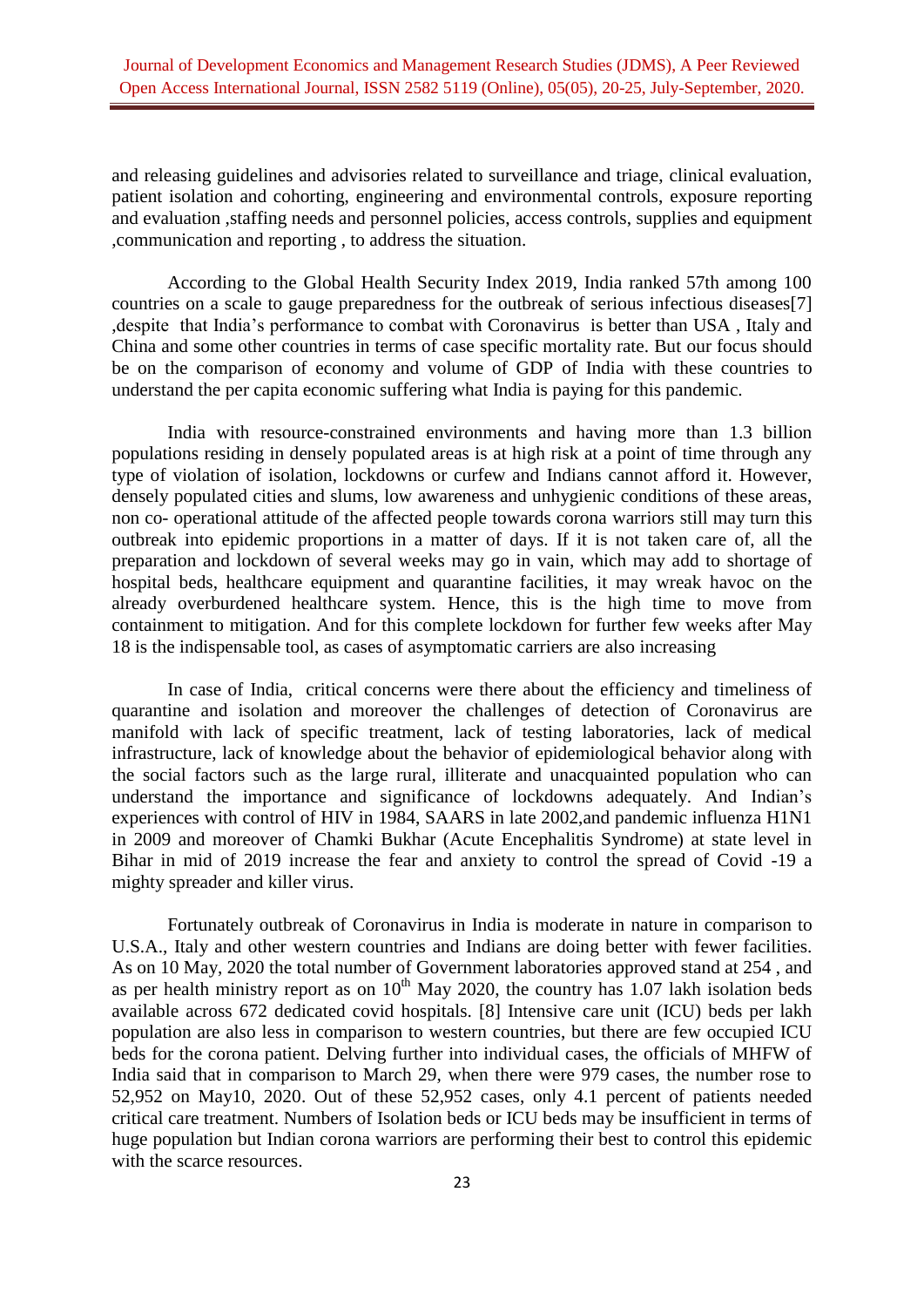and releasing guidelines and advisories related to surveillance and triage, [clinical evaluation,](https://www.cdc.gov/sars/guidance/c-healthcare/recommended.html#clinical) patient isolation and cohorting, engineering and [environmental controls,](https://www.cdc.gov/sars/guidance/c-healthcare/recommended.html#engineering) [exposure reporting](https://www.cdc.gov/sars/guidance/c-healthcare/recommended.html#exposure)  [and evaluation](https://www.cdc.gov/sars/guidance/c-healthcare/recommended.html#exposure) ,staffing [needs and personnel policies,](https://www.cdc.gov/sars/guidance/c-healthcare/recommended.html#staffing) [access controls,](https://www.cdc.gov/sars/guidance/c-healthcare/recommended.html#access) [supplies and equipment](https://www.cdc.gov/sars/guidance/c-healthcare/recommended.html#supplies) [,communication and reporting](https://www.cdc.gov/sars/guidance/c-healthcare/recommended.html#communication) , to address the situation.

According to the Global Health Security Index 2019, India ranked 57th among 100 countries on a scale to gauge preparedness for the outbreak of serious infectious diseases[7] ,despite that India's performance to combat with Coronavirus is better than USA , Italy and China and some other countries in terms of case specific mortality rate. But our focus should be on the comparison of economy and volume of GDP of India with these countries to understand the per capita economic suffering what India is paying for this pandemic.

India with resource-constrained environments and having more than 1.3 billion populations residing in densely populated areas is at high risk at a point of time through any type of violation of isolation, lockdowns or curfew and Indians cannot afford it. However, densely populated cities and slums, low awareness and unhygienic conditions of these areas, non co- operational attitude of the affected people towards corona warriors still may turn this outbreak into epidemic proportions in a matter of days. If it is not taken care of, all the preparation and lockdown of several weeks may go in vain, which may add to shortage of hospital beds, healthcare equipment and quarantine facilities, it may wreak havoc on the already overburdened healthcare system. Hence, this is the high time to move from containment to mitigation. And for this complete lockdown for further few weeks after May 18 is the indispensable tool, as cases of asymptomatic carriers are also increasing

In case of India, critical concerns were there about the efficiency and timeliness of quarantine and isolation and moreover the challenges of detection of Coronavirus are manifold with lack of specific treatment, lack of testing laboratories, lack of medical infrastructure, lack of knowledge about the behavior of epidemiological behavior along with the social factors such as the large rural, illiterate and unacquainted population who can understand the importance and significance of lockdowns adequately. And Indian's experiences with control of HIV in 1984, SAARS in late 2002,and pandemic influenza H1N1 in 2009 and moreover of Chamki Bukhar (Acute Encephalitis Syndrome) at state level in Bihar in mid of 2019 increase the fear and anxiety to control the spread of Covid -19 a mighty spreader and killer virus.

Fortunately outbreak of Coronavirus in India is moderate in nature in comparison to U.S.A., Italy and other western countries and Indians are doing better with fewer facilities. As on 10 May, 2020 the total number of Government laboratories approved stand at 254 , and as per health ministry report as on  $10<sup>th</sup>$  May 2020, the country has 1.07 lakh isolation beds available across 672 dedicated covid hospitals. [8] Intensive care unit (ICU) beds per lakh population are also less in comparison to western countries, but there are few occupied ICU beds for the corona patient. Delving further into individual cases, the officials of MHFW of India said that in comparison to March 29, when there were 979 cases, the number rose to 52,952 on May10, 2020. Out of these 52,952 cases, only 4.1 percent of patients needed critical care treatment. Numbers of Isolation beds or ICU beds may be insufficient in terms of huge population but Indian corona warriors are performing their best to control this epidemic with the scarce resources.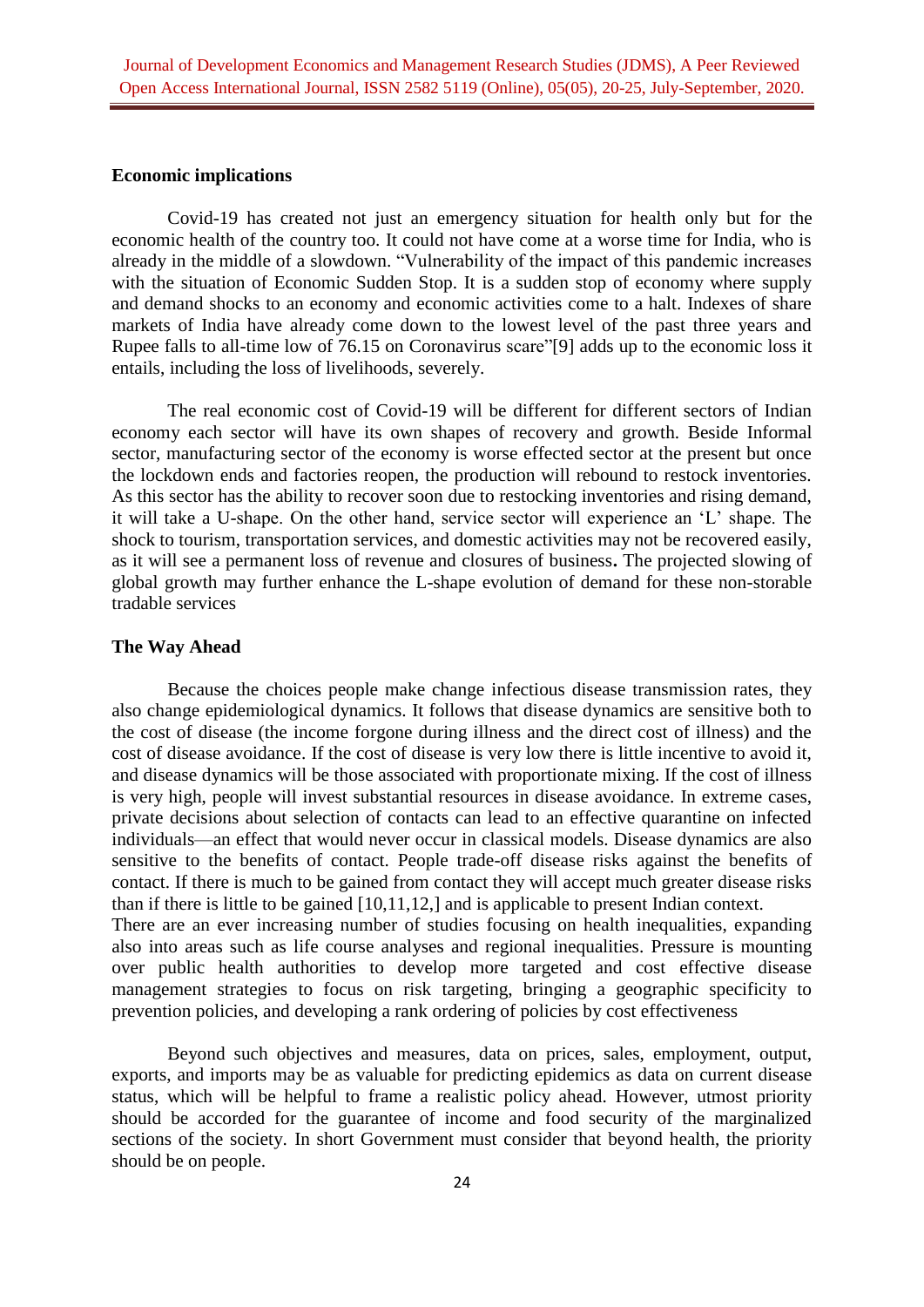#### **Economic implications**

Covid-19 has created not just an emergency situation for health only but for the economic health of the country too. It could not have come at a worse time for India, who is already in the middle of a slowdown. "Vulnerability of the impact of this pandemic increases with the situation of Economic Sudden Stop. It is a sudden stop of economy where supply and demand shocks to an economy and economic activities come to a halt. Indexes of share markets of India have already come down to the lowest level of the past three years and Rupee falls to all-time low of 76.15 on Coronavirus scare"[9] adds up to the economic loss it entails, including the loss of livelihoods, severely.

The real economic cost of Covid-19 will be different for different sectors of Indian economy each sector will have its own shapes of recovery and growth. Beside Informal sector, manufacturing sector of the economy is worse effected sector at the present but once the lockdown ends and factories reopen, the production will rebound to restock inventories. As this sector has the ability to recover soon due to restocking inventories and rising demand, it will take a U-shape. On the other hand, service sector will experience an 'L' shape. The shock to tourism, transportation services, and domestic activities may not be recovered easily, as it will see a permanent loss of revenue and closures of business**.** The projected slowing of global growth may further enhance the L-shape evolution of demand for these non-storable tradable services

## **The Way Ahead**

Because the choices people make change infectious disease transmission rates, they also change epidemiological dynamics. It follows that disease dynamics are sensitive both to the cost of disease (the income forgone during illness and the direct cost of illness) and the cost of disease avoidance. If the cost of disease is very low there is little incentive to avoid it, and disease dynamics will be those associated with proportionate mixing. If the cost of illness is very high, people will invest substantial resources in disease avoidance. In extreme cases, private decisions about selection of contacts can lead to an effective quarantine on infected individuals—an effect that would never occur in classical models. Disease dynamics are also sensitive to the benefits of contact. People trade-off disease risks against the benefits of contact. If there is much to be gained from contact they will accept much greater disease risks than if there is little to be gained [10,11,12,] and is applicable to present Indian context. There are an ever increasing number of studies focusing on health inequalities, expanding also into areas such as life course analyses and regional inequalities. Pressure is mounting over public health authorities to develop more targeted and cost effective disease management strategies to focus on risk targeting, bringing a geographic specificity to prevention policies, and developing a rank ordering of policies by cost effectiveness

Beyond such objectives and measures, data on prices, sales, employment, output, exports, and imports may be as valuable for predicting epidemics as data on current disease status, which will be helpful to frame a realistic policy ahead. However, utmost priority should be accorded for the guarantee of income and food security of the marginalized sections of the society. In short Government must consider that beyond health, the priority should be on people.